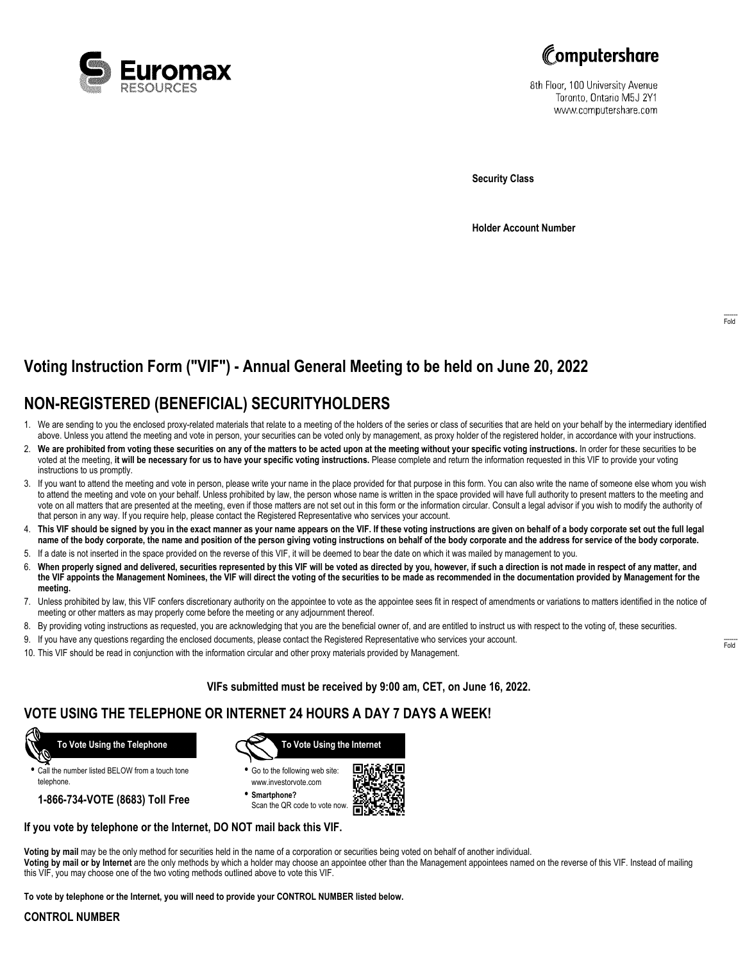



8th Floor, 100 University Avenue Toronto, Ontario M5J 2Y1 www.computershare.com

**Security Class**

**Holder Account Number**

# **Voting Instruction Form ("VIF") - Annual General Meeting to be held on June 20, 2022**

## **NON-REGISTERED (BENEFICIAL) SECURITYHOLDERS**

- 1. We are sending to you the enclosed proxy-related materials that relate to a meeting of the holders of the series or class of securities that are held on your behalf by the intermediary identified above. Unless you attend the meeting and vote in person, your securities can be voted only by management, as proxy holder of the registered holder, in accordance with your instructions.
- 2. **We are prohibited from voting these securities on any of the matters to be acted upon at the meeting without your specific voting instructions.** In order for these securities to be voted at the meeting, **it will be necessary for us to have your specific voting instructions.** Please complete and return the information requested in this VIF to provide your voting instructions to us promptly.
- 3. If you want to attend the meeting and vote in person, please write your name in the place provided for that purpose in this form. You can also write the name of someone else whom you wish to attend the meeting and vote on your behalf. Unless prohibited by law, the person whose name is written in the space provided will have full authority to present matters to the meeting and vote on all matters that are presented at the meeting, even if those matters are not set out in this form or the information circular. Consult a legal advisor if you wish to modify the authority of that person in any way. If you require help, please contact the Registered Representative who services your account.
- 4. **This VIF should be signed by you in the exact manner as your name appears on the VIF. If these voting instructions are given on behalf of a body corporate set out the full legal name of the body corporate, the name and position of the person giving voting instructions on behalf of the body corporate and the address for service of the body corporate.**
- 5. If a date is not inserted in the space provided on the reverse of this VIF, it will be deemed to bear the date on which it was mailed by management to you.
- 6. **When properly signed and delivered, securities represented by this VIF will be voted as directed by you, however, if such a direction is not made in respect of any matter, and the VIF appoints the Management Nominees, the VIF will direct the voting of the securities to be made as recommended in the documentation provided by Management for the meeting.**
- 7. Unless prohibited by law, this VIF confers discretionary authority on the appointee to vote as the appointee sees fit in respect of amendments or variations to matters identified in the notice of meeting or other matters as may properly come before the meeting or any adjournment thereof.
- 8. By providing voting instructions as requested, you are acknowledging that you are the beneficial owner of, and are entitled to instruct us with respect to the voting of, these securities.
- 9. If you have any questions regarding the enclosed documents, please contact the Registered Representative who services your account.
- 10. This VIF should be read in conjunction with the information circular and other proxy materials provided by Management.

**VIFs submitted must be received by 9:00 am, CET, on June 16, 2022.**

### **VOTE USING THE TELEPHONE OR INTERNET 24 HOURS A DAY 7 DAYS A WEEK!**



**•** Call the number listed BELOW from a touch tone telephone.

**1-866-734-VOTE (8683) Toll Free**



**•** Go to the following web site: www.investorvote.com

**• Smartphone?** Scan the QR code to vote now.



#### **If you vote by telephone or the Internet, DO NOT mail back this VIF.**

**Voting by mail** may be the only method for securities held in the name of a corporation or securities being voted on behalf of another individual. **Voting by mail or by Internet** are the only methods by which a holder may choose an appointee other than the Management appointees named on the reverse of this VIF. Instead of mailing

this VIF, you may choose one of the two voting methods outlined above to vote this VIF.

**To vote by telephone or the Internet, you will need to provide your CONTROL NUMBER listed below.**

#### **CONTROL NUMBER**